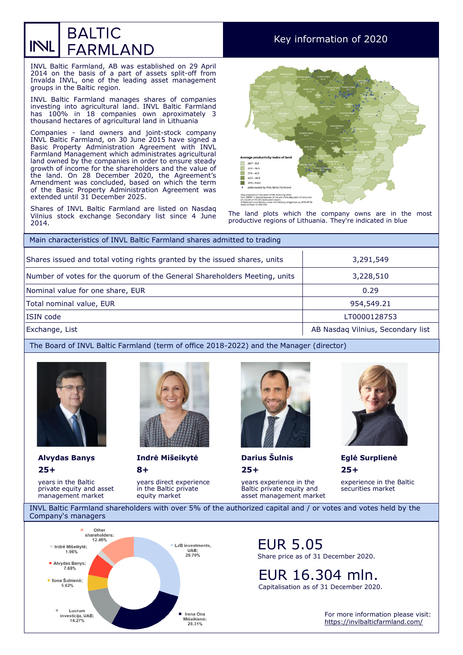## **BALTIC** INL **FARMLAND**

INVL Baltic Farmland, AB was established on 29 April 2014 on the basis of a part of assets split-off from Invalda INVL, one of the leading asset management groups in the Baltic region.

INVL Baltic Farmland manages shares of companies investing into agricultural land. INVL Baltic Farmland has 100% in 18 companies own aproximately 3 thousand hectares of agricultural land in Lithuania

Companies - land owners and joint-stock company INVL Baltic Farmland, on 30 June 2015 have signed a Basic Property Administration Agreement with INVL Farmland Management which administrates agricultural land owned by the companies in order to ensure steady growth of income for the shareholders and the value of the land. On 28 December 2020, the Agreement's Amendment was concluded, based on which the term of the Basic Property Administration Agreement was extended until 31 December 2025.

Shares of INVL Baltic Farmland are listed on Nasdaq Vilnius stock exchange Secondary list since 4 June 2014.

## Key information of 2020



The land plots which the company owns are in the most productive regions of Lithuania. They're indicated in blue

| Main characteristics of INVL Baltic Farmland shares admitted to trading   |                                   |  |  |  |  |
|---------------------------------------------------------------------------|-----------------------------------|--|--|--|--|
| Shares issued and total voting rights granted by the issued shares, units | 3,291,549                         |  |  |  |  |
| Number of votes for the quorum of the General Shareholders Meeting, units | 3,228,510                         |  |  |  |  |
| Nominal value for one share, EUR                                          | 0.29                              |  |  |  |  |
| Total nominal value, EUR                                                  | 954,549.21                        |  |  |  |  |
| ISIN code                                                                 | LT0000128753                      |  |  |  |  |
| Exchange, List                                                            | AB Nasdaq Vilnius, Secondary list |  |  |  |  |

The Board of INVL Baltic Farmland (term of office 2018-2022) and the Manager (director)



**25+** 

years in the Baltic private equity and asset management market



**8+ Alvydas Banys Indrė Mišeikytė Darius Šulnis Eglė Surplienė**

> years direct experience in the Baltic private equity market



**25+** 

years experience in the Baltic private equity and asset management market



**25+** 

experience in the Baltic securities market

INVL Baltic Farmland shareholders with over 5% of the authorized capital and / or votes and votes held by the Company's managers



EUR 5.05 Share price as of 31 December 2020.

EUR 16.304 mln. Capitalisation as of 31 December 2020.

> For more information please visit: <https://invlbalticfarmland.com/>